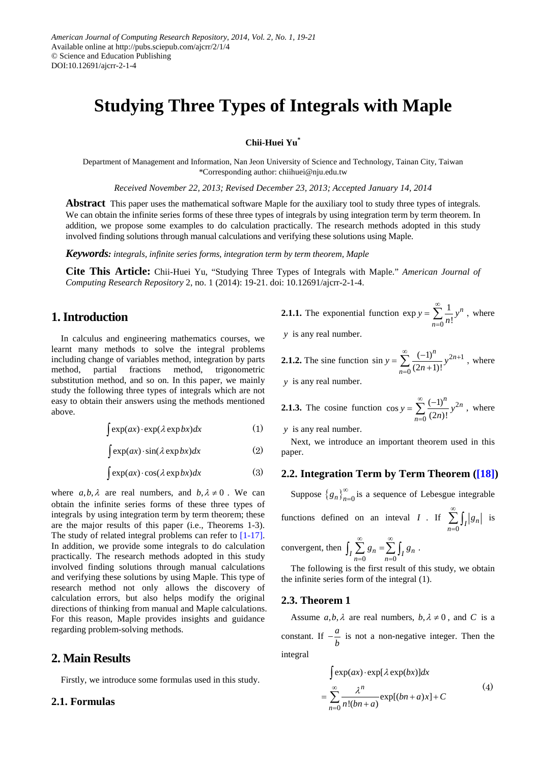# **Studying Three Types of Integrals with Maple**

**Chii-Huei Yu\***

Department of Management and Information, Nan Jeon University of Science and Technology, Tainan City, Taiwan \*Corresponding author: chiihuei@nju.edu.tw

*Received November 22, 2013; Revised December 23, 2013; Accepted January 14, 2014*

**Abstract** This paper uses the mathematical software Maple for the auxiliary tool to study three types of integrals. We can obtain the infinite series forms of these three types of integrals by using integration term by term theorem. In addition, we propose some examples to do calculation practically. The research methods adopted in this study involved finding solutions through manual calculations and verifying these solutions using Maple.

*Keywords: integrals, infinite series forms, integration term by term theorem, Maple*

**Cite This Article:** Chii-Huei Yu, "Studying Three Types of Integrals with Maple." *American Journal of Computing Research Repository* 2, no. 1 (2014): 19-21. doi: 10.12691/ajcrr-2-1-4.

# **1. Introduction**

In calculus and engineering mathematics courses, we learnt many methods to solve the integral problems including change of variables method, integration by parts method, partial fractions method, trigonometric substitution method, and so on. In this paper, we mainly study the following three types of integrals which are not easy to obtain their answers using the methods mentioned above.

$$
\int \exp(ax) \cdot \exp(\lambda \exp bx) dx \tag{1}
$$

$$
\int \exp(ax) \cdot \sin(\lambda \exp bx) dx \tag{2}
$$

$$
\int \exp(ax) \cdot \cos(\lambda \exp bx) dx \tag{3}
$$

where  $a, b, \lambda$  are real numbers, and  $b, \lambda \neq 0$ . We can obtain the infinite series forms of these three types of integrals by using integration term by term theorem; these are the major results of this paper (i.e., Theorems 1-3). The study of related integral problems can refer to [\[1-17\].](#page-2-0) In addition, we provide some integrals to do calculation practically. The research methods adopted in this study involved finding solutions through manual calculations and verifying these solutions by using Maple. This type of research method not only allows the discovery of calculation errors, but also helps modify the original directions of thinking from manual and Maple calculations. For this reason, Maple provides insights and guidance regarding problem-solving methods.

# **2. Main Results**

Firstly, we introduce some formulas used in this study.

#### **2.1. Formulas**

**2.1.1.** The exponential function 
$$
\exp y = \sum_{n=0}^{\infty} \frac{1}{n!} y^n
$$
, where

*y* is any real number.

**2.1.2.** The sine function  $\sin y = \sum_{n=0}^{\infty} \frac{(-1)^n}{(2n+1)^n} y^{2n+1}$  $\theta$  $\sin y = \sum_{n=0}^{\infty} \frac{(-1)^n}{(2n+1)!}$  $\sum_{n=1}^{\infty}$   $(-1)^n$   $\sum_{n=1}^{\infty}$  $y = \sum_{n=0}^{\infty} \frac{(-1)^n}{(2n+1)!} y^{2n+1}$ , where

*y* is any real number.

**2.1.3.** The cosine function 
$$
\cos y = \sum_{n=0}^{\infty} \frac{(-1)^n}{(2n)!} y^{2n}
$$
, where

*y* is any real number.

Next, we introduce an important theorem used in this paper.

## **2.2. Integration Term by Term Theorem [\(\[18\]\)](#page-2-1)**

Suppose  ${g_n}_{n=0}^{\infty}$  is a sequence of Lebesgue integrable

functions defined on an interval 
$$
I
$$
. If  $\sum_{n=0}^{\infty} \int_{I} |g_n|$  is

convergent, then 
$$
\int_{I} \sum_{n=0}^{\infty} g_n = \sum_{n=0}^{\infty} \int_{I} g_n.
$$

The following is the first result of this study, we obtain the infinite series form of the integral (1).

#### **2.3. Theorem 1**

Assume  $a, b, \lambda$  are real numbers,  $b, \lambda \neq 0$ , and *C* is a constant. If  $-\frac{a}{b}$  is not a non-negative integer. Then the integral

$$
\int \exp(ax) \cdot \exp[\lambda \exp(bx)]dx
$$
  
= 
$$
\sum_{n=0}^{\infty} \frac{\lambda^n}{n!(bn+a)} \exp[(bn+a)x] + C
$$
 (4)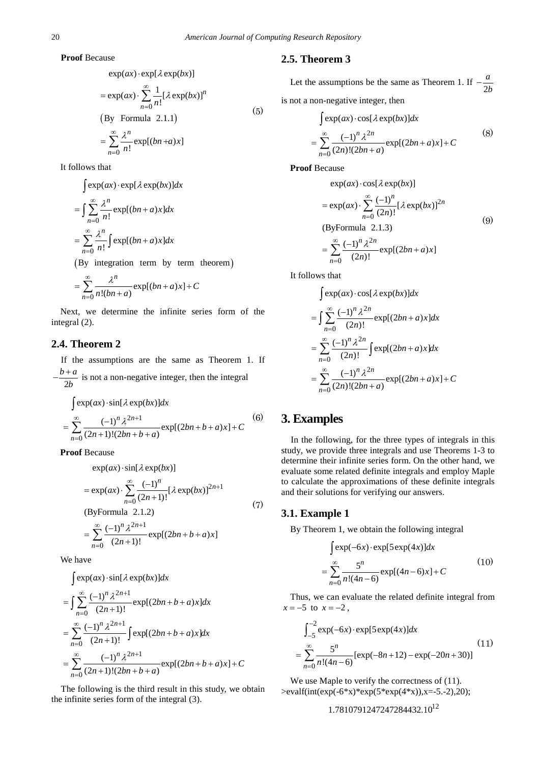**Proof** Because

$$
\exp(ax) \cdot \exp[\lambda \exp(bx)]
$$
  
=  $\exp(ax) \cdot \sum_{n=0}^{\infty} \frac{1}{n!} [\lambda \exp(bx)]^n$   
(By Formula 2.1.1)  
=  $\sum_{n=0}^{\infty} \frac{\lambda^n}{n!} \exp[(bn+a)x]$  (5)

It follows that

 $\int \exp(ax) \cdot \exp[\lambda \exp(bx)] dx$ 

$$
= \int \sum_{n=0}^{\infty} \frac{\lambda^n}{n!} \exp[(bn + a)x] dx
$$

$$
= \sum_{n=0}^{\infty} \frac{\lambda^n}{n!} \int \exp[(bn + a)x] dx
$$

(By integration term by term theorem)

$$
= \sum_{n=0}^{\infty} \frac{\lambda^n}{n!(bn+a)} \exp[(bn+a)x] + C
$$

Next, we determine the infinite series form of the integral (2).

## **2.4. Theorem 2**

If the assumptions are the same as Theorem 1. If 2  $-\frac{b+a}{\cdots}$  $\frac{\alpha}{b}$  is not a non-negative integer, then the integral

$$
\int \exp(ax) \cdot \sin[\lambda \exp(bx)]dx
$$
  
= 
$$
\sum_{n=0}^{\infty} \frac{(-1)^n \lambda^{2n+1}}{(2n+1)!(2bn+b+a)} \exp[(2bn+b+a)x] + C
$$
 (6)

**Proof** Because

 $\exp(ax) \cdot \sin[\lambda \exp(bx)]$ 

$$
= \exp(ax) \cdot \sum_{n=0}^{\infty} \frac{(-1)^n}{(2n+1)!} [\lambda \exp(bx)]^{2n+1}
$$
  
(ByFormula 2.1.2)  

$$
= \sum_{n=0}^{\infty} \frac{(-1)^n \lambda^{2n+1}}{(2n+1)!} \exp[(2bn+b+a)x]
$$
 (7)

We have

$$
\int \exp(ax) \cdot \sin[\lambda \exp(bx)]dx
$$
  
= 
$$
\int \sum_{n=0}^{\infty} \frac{(-1)^n \lambda^{2n+1}}{(2n+1)!} \exp[(2bn+b+a)x]dx
$$
  
= 
$$
\sum_{n=0}^{\infty} \frac{(-1)^n \lambda^{2n+1}}{(2n+1)!} \int \exp[(2bn+b+a)x]dx
$$
  
= 
$$
\sum_{n=0}^{\infty} \frac{(-1)^n \lambda^{2n+1}}{(2n+1)!(2bn+b+a)} \exp[(2bn+b+a)x] + C
$$

The following is the third result in this study, we obtain the infinite series form of the integral (3).

## **2.5. Theorem 3**

Let the assumptions be the same as Theorem 1. If  $-\frac{1}{2}$ − *a b* is not a non-negative integer, then

$$
\int \exp(ax) \cdot \cos[\lambda \exp(bx)]dx
$$
  
= 
$$
\sum_{n=0}^{\infty} \frac{(-1)^n \lambda^{2n}}{(2n)!(2bn+a)} \exp[(2bn+a)x] + C
$$
 (8)

**Proof** Because

$$
\exp(ax) \cdot \cos[\lambda \exp(bx)]
$$
  
=  $\exp(ax) \cdot \sum_{n=0}^{\infty} \frac{(-1)^n}{(2n)!} [\lambda \exp(bx)]^{2n}$   
(ByFormula 2.1.3)  
=  $\sum_{n=0}^{\infty} \frac{(-1)^n \lambda^{2n}}{(2n)!} \exp[(2bn + a)x]$  (9)

It follows that

$$
\int \exp(ax) \cdot \cos[\lambda \exp(bx)]dx
$$
  
= 
$$
\int \sum_{n=0}^{\infty} \frac{(-1)^n \lambda^{2n}}{(2n)!} \exp[(2bn + a)x]dx
$$
  
= 
$$
\sum_{n=0}^{\infty} \frac{(-1)^n \lambda^{2n}}{(2n)!} \int \exp[(2bn + a)x]dx
$$
  
= 
$$
\sum_{n=0}^{\infty} \frac{(-1)^n \lambda^{2n}}{(2n)!(2bn + a)} \exp[(2bn + a)x] + C
$$

# **3. Examples**

In the following, for the three types of integrals in this study, we provide three integrals and use Theorems 1-3 to determine their infinite series form. On the other hand, we evaluate some related definite integrals and employ Maple to calculate the approximations of these definite integrals and their solutions for verifying our answers.

#### **3.1. Example 1**

By Theorem 1, we obtain the following integral

$$
\int \exp(-6x) \cdot \exp[5 \exp(4x)]dx
$$
  
= 
$$
\sum_{n=0}^{\infty} \frac{5^n}{n!(4n-6)} \exp[(4n-6)x] + C
$$
 (10)

Thus, we can evaluate the related definite integral from  $x = -5$  to  $x = -2$ ,

$$
\int_{-5}^{-2} \exp(-6x) \cdot \exp[5 \exp(4x)] dx
$$
  
= 
$$
\sum_{n=0}^{\infty} \frac{5^n}{n!(4n-6)} [\exp(-8n+12) - \exp(-20n+30)]
$$
 (11)

We use Maple to verify the correctness of  $(11)$ . >evalf(int(exp(-6\*x)\*exp(5\*exp(4\*x)),x=-5.-2),20);

$$
1.7810791247247284432.10^{12}
$$